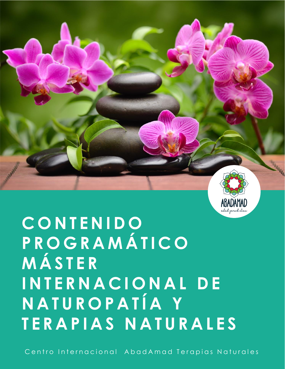

# **CONTENIDO PROGRAMÁTICO MÁSTER I N T E R N A C I O N A L DE NATUROPATÍA Y TERAPIAS NATURALES**

**INDICE**

Centro Internacional AbadAmad Terapias Naturales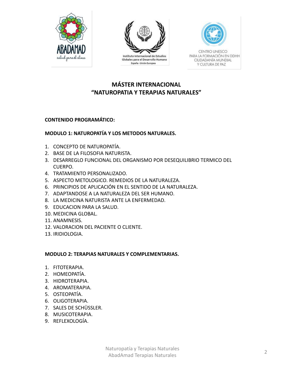



Globales para el Desarrollo Humano España - Unión Europea



**CENTRO UNESCO** PARA LA FORMACIÓN EN DDHH CIUDADANÍA MUNDIAL Y CULTURA DE PAZ

## **MÁSTER INTERNACIONAL "NATUROPATIA Y TERAPIAS NATURALES"**

### **CONTENIDO PROGRAMÁTICO:**

### **MODULO 1: NATUROPATÍA Y LOS METODOS NATURALES.**

- 1. CONCEPTO DE NATUROPATÍA.
- 2. BASE DE LA FILOSOFIA NATURISTA.
- 3. DESARREGLO FUNCIONAL DEL ORGANISMO POR DESEQUILIBRIO TERMICO DEL CUERPO.
- 4. TRATAMIENTO PERSONALIZADO.
- 5. ASPECTO METOLOGICO. REMEDIOS DE LA NATURALEZA.
- 6. PRINCIPIOS DE APLICACIÓN EN EL SENTIDO DE LA NATURALEZA.
- 7. ADAPTANDOSE A LA NATURALEZA DEL SER HUMANO.
- 8. LA MEDICINA NATURISTA ANTE LA ENFERMEDAD.
- 9. EDUCACION PARA LA SALUD.
- 10. MEDICINA GLOBAL.
- 11. ANAMNESIS.
- 12. VALORACION DEL PACIENTE O CLIENTE.
- 13. IRIDIOLOGIA.

#### **MODULO 2: TERAPIAS NATURALES Y COMPLEMENTARIAS.**

- 1. FITOTERAPIA.
- 2. HOMEOPATÍA.
- 3. HIDROTERAPIA.
- 4. AROMATERAPIA.
- 5. OSTEOPATÍA.
- 6. OLIGOTERAPIA.
- 7. SALES DE SCHÜSSLER.
- 8. MUSICOTERAPIA.
- 9. REFLEXOLOGÍA.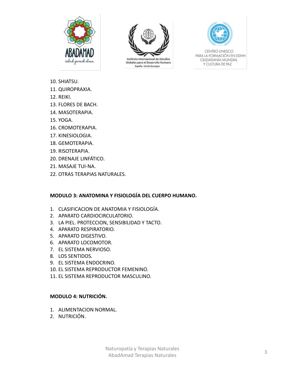



Instituto Internacional de Estudios Globales para el Desarrollo Humano España - Unión Europea



CENTRO UNESCO PARA LA FORMACIÓN EN DDHH CIUDADANÍA MUNDIAL Y CULTURA DE PAZ

- 10. SHIATSU.
- 11. QUIROPRAXIA.
- 12. REIKI.
- 13. FLORES DE BACH.
- 14. MASOTERAPIA.
- 15. YOGA.
- 16. CROMOTERAPIA.
- 17. KINESIOLOGIA.
- 18. GEMOTERAPIA.
- 19. RISOTERAPIA.
- 20. DRENAJE LINFÁTICO.
- 21. MASAJE TUI-NA.
- 22. OTRAS TERAPIAS NATURALES.

#### **MODULO 3: ANATOMINA Y FISIOLOGÍA DEL CUERPO HUMANO.**

- 1. CLASIFICACION DE ANATOMIA Y FISIOLOGÍA.
- 2. APARATO CARDIOCIRCULATORIO.
- 3. LA PIEL. PROTECCION, SENSIBILIDAD Y TACTO.
- 4. APARATO RESPIRATORIO.
- 5. APARATO DIGESTIVO.
- 6. APARATO LOCOMOTOR.
- 7. EL SISTEMA NERVIOSO.
- 8. LOS SENTIDOS.
- 9. EL SISTEMA ENDOCRINO.
- 10. EL SISTEMA REPRODUCTOR FEMENINO.
- 11. EL SISTEMA REPRODUCTOR MASCULINO.

#### **MODULO 4: NUTRICIÓN.**

- 1. ALIMENTACION NORMAL.
- 2. NUTRICIÓN.